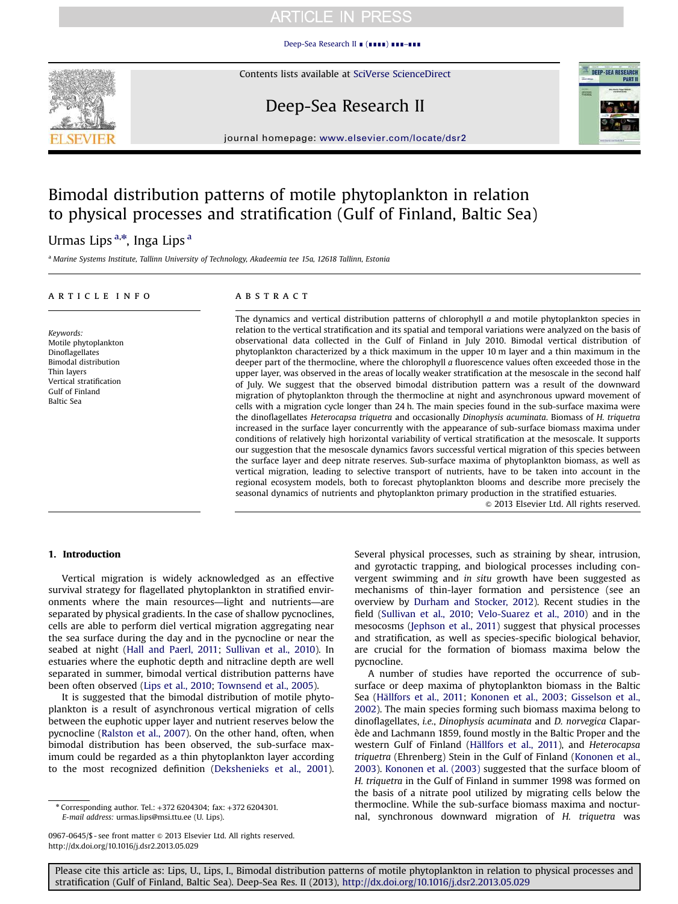[Deep-Sea Research II](dx.doi.org/10.1016/j.dsr2.2013.05.029) ∎ (∎∎∎∎) ∎∎∎–∎∎∎



Contents lists available at SciVerse ScienceDirect

# Deep-Sea Research II



journal homepage: <www.elsevier.com/locate/dsr2>

# Bimodal distribution patterns of motile phytoplankton in relation to physical processes and stratification (Gulf of Finland, Baltic Sea)

## Urmas Lips<sup>a,\*</sup>, Inga Lips<sup>a</sup>

<sup>a</sup> Marine Systems Institute, Tallinn University of Technology, Akadeemia tee 15a, 12618 Tallinn, Estonia

#### article info

Keywords: Motile phytoplankton Dinoflagellates Bimodal distribution Thin layers Vertical stratification Gulf of Finland Baltic Sea

### ABSTRACT

The dynamics and vertical distribution patterns of chlorophyll a and motile phytoplankton species in relation to the vertical stratification and its spatial and temporal variations were analyzed on the basis of observational data collected in the Gulf of Finland in July 2010. Bimodal vertical distribution of phytoplankton characterized by a thick maximum in the upper 10 m layer and a thin maximum in the deeper part of the thermocline, where the chlorophyll a fluorescence values often exceeded those in the upper layer, was observed in the areas of locally weaker stratification at the mesoscale in the second half of July. We suggest that the observed bimodal distribution pattern was a result of the downward migration of phytoplankton through the thermocline at night and asynchronous upward movement of cells with a migration cycle longer than 24 h. The main species found in the sub-surface maxima were the dinoflagellates Heterocapsa triquetra and occasionally Dinophysis acuminata. Biomass of H. triquetra increased in the surface layer concurrently with the appearance of sub-surface biomass maxima under conditions of relatively high horizontal variability of vertical stratification at the mesoscale. It supports our suggestion that the mesoscale dynamics favors successful vertical migration of this species between the surface layer and deep nitrate reserves. Sub-surface maxima of phytoplankton biomass, as well as vertical migration, leading to selective transport of nutrients, have to be taken into account in the regional ecosystem models, both to forecast phytoplankton blooms and describe more precisely the seasonal dynamics of nutrients and phytoplankton primary production in the stratified estuaries.

& 2013 Elsevier Ltd. All rights reserved.

#### 1. Introduction

Vertical migration is widely acknowledged as an effective survival strategy for flagellated phytoplankton in stratified environments where the main resources—light and nutrients—are separated by physical gradients. In the case of shallow pycnoclines, cells are able to perform diel vertical migration aggregating near the sea surface during the day and in the pycnocline or near the seabed at night [\(Hall and Paerl, 2011;](#page-12-0) [Sullivan et al., 2010](#page-12-0)). In estuaries where the euphotic depth and nitracline depth are well separated in summer, bimodal vertical distribution patterns have been often observed [\(Lips et al., 2010;](#page-12-0) [Townsend et al., 2005](#page-12-0)).

It is suggested that the bimodal distribution of motile phytoplankton is a result of asynchronous vertical migration of cells between the euphotic upper layer and nutrient reserves below the pycnocline [\(Ralston et al., 2007](#page-12-0)). On the other hand, often, when bimodal distribution has been observed, the sub-surface maximum could be regarded as a thin phytoplankton layer according to the most recognized definition [\(Dekshenieks et al., 2001\)](#page-12-0). Several physical processes, such as straining by shear, intrusion, and gyrotactic trapping, and biological processes including convergent swimming and in situ growth have been suggested as mechanisms of thin-layer formation and persistence (see an overview by [Durham and Stocker, 2012\)](#page-12-0). Recent studies in the field [\(Sullivan et al., 2010](#page-12-0); [Velo-Suarez et al., 2010\)](#page-12-0) and in the mesocosms [\(Jephson et al., 2011](#page-12-0)) suggest that physical processes and stratification, as well as species-specific biological behavior, are crucial for the formation of biomass maxima below the pycnocline.

A number of studies have reported the occurrence of subsurface or deep maxima of phytoplankton biomass in the Baltic Sea [\(Hällfors et al., 2011](#page-12-0); [Kononen et al., 2003;](#page-12-0) [Gisselson et al.,](#page-12-0) [2002\)](#page-12-0). The main species forming such biomass maxima belong to dinoflagellates, i.e., Dinophysis acuminata and D. norvegica Claparède and Lachmann 1859, found mostly in the Baltic Proper and the western Gulf of Finland ([Hällfors et al., 2011\)](#page-12-0), and Heterocapsa triquetra (Ehrenberg) Stein in the Gulf of Finland [\(Kononen et al.,](#page-12-0) [2003\)](#page-12-0). [Kononen et al. \(2003\)](#page-12-0) suggested that the surface bloom of H. triquetra in the Gulf of Finland in summer 1998 was formed on the basis of a nitrate pool utilized by migrating cells below the thermocline. While the sub-surface biomass maxima and nocturnal, synchronous downward migration of H. triquetra was

<sup>n</sup> Corresponding author. Tel.: +372 6204304; fax: +372 6204301. E-mail address: urmas.lips@msi.ttu.ee (U. Lips).

<sup>0967-0645/\$ -</sup> see front matter @ 2013 Elsevier Ltd. All rights reserved. [http://dx.doi.org/10.1016/j.dsr2.2013.05.029](dx.doi.org/10.1016/j.dsr2.2013.05.029)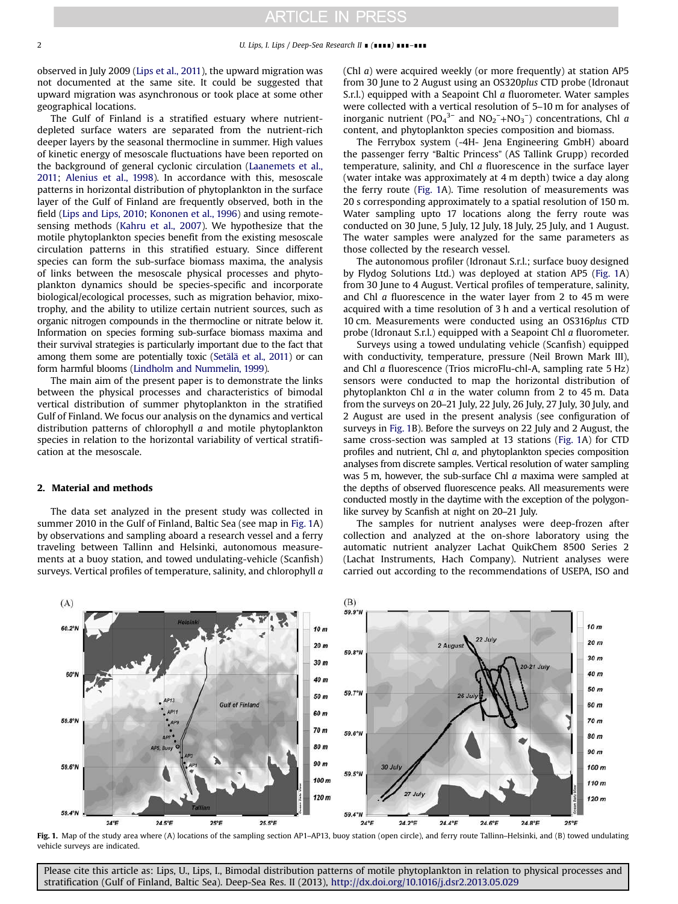<span id="page-1-0"></span>observed in July 2009 ([Lips et al., 2011\)](#page-12-0), the upward migration was not documented at the same site. It could be suggested that upward migration was asynchronous or took place at some other geographical locations.

The Gulf of Finland is a stratified estuary where nutrientdepleted surface waters are separated from the nutrient-rich deeper layers by the seasonal thermocline in summer. High values of kinetic energy of mesoscale fluctuations have been reported on the background of general cyclonic circulation ([Laanemets et al.,](#page-12-0) [2011;](#page-12-0) [Alenius et al., 1998\)](#page-12-0). In accordance with this, mesoscale patterns in horizontal distribution of phytoplankton in the surface layer of the Gulf of Finland are frequently observed, both in the field ([Lips and Lips, 2010](#page-12-0); [Kononen et al., 1996](#page-12-0)) and using remotesensing methods [\(Kahru et al., 2007](#page-12-0)). We hypothesize that the motile phytoplankton species benefit from the existing mesoscale circulation patterns in this stratified estuary. Since different species can form the sub-surface biomass maxima, the analysis of links between the mesoscale physical processes and phytoplankton dynamics should be species-specific and incorporate biological/ecological processes, such as migration behavior, mixotrophy, and the ability to utilize certain nutrient sources, such as organic nitrogen compounds in the thermocline or nitrate below it. Information on species forming sub-surface biomass maxima and their survival strategies is particularly important due to the fact that among them some are potentially toxic ([Setälä et al., 2011\)](#page-12-0) or can form harmful blooms [\(Lindholm and Nummelin, 1999\)](#page-12-0).

The main aim of the present paper is to demonstrate the links between the physical processes and characteristics of bimodal vertical distribution of summer phytoplankton in the stratified Gulf of Finland. We focus our analysis on the dynamics and vertical distribution patterns of chlorophyll a and motile phytoplankton species in relation to the horizontal variability of vertical stratification at the mesoscale.

#### 2. Material and methods

The data set analyzed in the present study was collected in summer 2010 in the Gulf of Finland, Baltic Sea (see map in Fig. 1A) by observations and sampling aboard a research vessel and a ferry traveling between Tallinn and Helsinki, autonomous measurements at a buoy station, and towed undulating-vehicle (Scanfish) surveys. Vertical profiles of temperature, salinity, and chlorophyll a

(Chl a) were acquired weekly (or more frequently) at station AP5 from 30 June to 2 August using an OS320plus CTD probe (Idronaut S.r.l.) equipped with a Seapoint Chl a fluorometer. Water samples were collected with a vertical resolution of 5–10 m for analyses of inorganic nutrient ( $PO_4^{3-}$  and  $NO_2^- + NO_3^-$ ) concentrations, Chl a content, and phytoplankton species composition and biomass.

The Ferrybox system (-4H- Jena Engineering GmbH) aboard the passenger ferry "Baltic Princess" (AS Tallink Grupp) recorded temperature, salinity, and Chl  $a$  fluorescence in the surface layer (water intake was approximately at 4 m depth) twice a day along the ferry route (Fig. 1A). Time resolution of measurements was 20 s corresponding approximately to a spatial resolution of 150 m. Water sampling upto 17 locations along the ferry route was conducted on 30 June, 5 July, 12 July, 18 July, 25 July, and 1 August. The water samples were analyzed for the same parameters as those collected by the research vessel.

The autonomous profiler (Idronaut S.r.l.; surface buoy designed by Flydog Solutions Ltd.) was deployed at station AP5 (Fig. 1A) from 30 June to 4 August. Vertical profiles of temperature, salinity, and Chl a fluorescence in the water layer from 2 to 45 m were acquired with a time resolution of 3 h and a vertical resolution of 10 cm. Measurements were conducted using an OS316plus CTD probe (Idronaut S.r.l.) equipped with a Seapoint Chl a fluorometer.

Surveys using a towed undulating vehicle (Scanfish) equipped with conductivity, temperature, pressure (Neil Brown Mark III), and Chl a fluorescence (Trios microFlu-chl-A, sampling rate 5 Hz) sensors were conducted to map the horizontal distribution of phytoplankton Chl  $a$  in the water column from 2 to 45 m. Data from the surveys on 20–21 July, 22 July, 26 July, 27 July, 30 July, and 2 August are used in the present analysis (see configuration of surveys in Fig. 1B). Before the surveys on 22 July and 2 August, the same cross-section was sampled at 13 stations (Fig. 1A) for CTD profiles and nutrient, Chl a, and phytoplankton species composition analyses from discrete samples. Vertical resolution of water sampling was 5 m, however, the sub-surface Chl  $a$  maxima were sampled at the depths of observed fluorescence peaks. All measurements were conducted mostly in the daytime with the exception of the polygonlike survey by Scanfish at night on 20–21 July.

The samples for nutrient analyses were deep-frozen after collection and analyzed at the on-shore laboratory using the automatic nutrient analyzer Lachat QuikChem 8500 Series 2 (Lachat Instruments, Hach Company). Nutrient analyses were carried out according to the recommendations of USEPA, ISO and



Fig. 1. Map of the study area where (A) locations of the sampling section AP1-AP13, buoy station (open circle), and ferry route Tallinn–Helsinki, and (B) towed undulating vehicle surveys are indicated.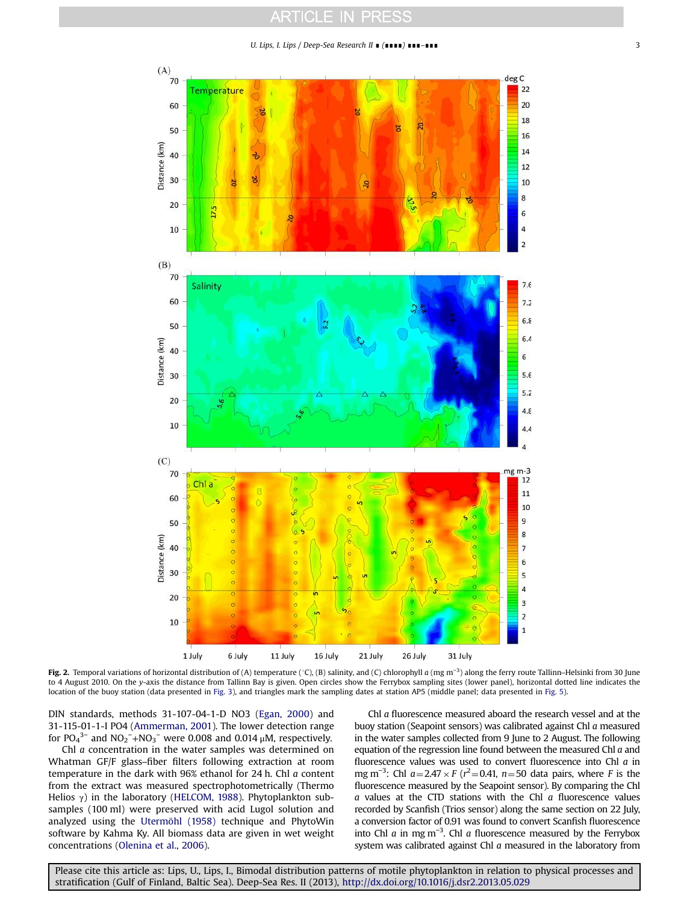U. Lips, I. Lips / Deep-Sea Research II ∎ (∎∎∎∎) ∎∎∎–∎∎∎ 3

<span id="page-2-0"></span>

**Fig. 2.** Temporal variations of horizontal distribution of (A) temperature (°C), (B) salinity, and (C) chlorophyll a (mg m<sup>-3</sup>) along the ferry route Tallinn–Helsinki from 30 June to 4 August 2010. On the y-axis the distance from Tallinn Bay is given. Open circles show the Ferrybox sampling sites (lower panel), horizontal dotted line indicates the location of the buoy station (data presented in [Fig. 3](#page-3-0)), and triangles mark the sampling dates at station AP5 (middle panel; data presented in [Fig. 5](#page-5-0)).

DIN standards, methods 31-107-04-1-D NO3 ([Egan, 2000\)](#page-12-0) and 31-115-01-1-I PO4 ([Ammerman, 2001](#page-12-0)). The lower detection range for PO<sub>4</sub><sup>3–</sup> and NO<sub>2</sub><sup>–</sup>+NO<sub>3</sub><sup>–</sup> were 0.008 and 0.014  $\mu$ M, respectively.

Chl a concentration in the water samples was determined on Whatman GF/F glass–fiber filters following extraction at room temperature in the dark with 96% ethanol for 24 h. Chl a content from the extract was measured spectrophotometrically (Thermo Helios γ) in the laboratory ([HELCOM, 1988](#page-12-0)). Phytoplankton subsamples (100 ml) were preserved with acid Lugol solution and analyzed using the [Utermöhl \(1958\)](#page-12-0) technique and PhytoWin software by Kahma Ky. All biomass data are given in wet weight concentrations [\(Olenina et al., 2006](#page-12-0)).

Chl a fluorescence measured aboard the research vessel and at the buoy station (Seapoint sensors) was calibrated against Chl a measured in the water samples collected from 9 June to 2 August. The following equation of the regression line found between the measured Chl a and fluorescence values was used to convert fluorescence into Chl a in mg m<sup>-3</sup>: Chl a=2.47 × F (r<sup>2</sup>=0.41, n=50 data pairs, where F is the fluorescence measured by the Seapoint sensor). By comparing the Chl  $a$  values at the CTD stations with the Chl  $a$  fluorescence values recorded by Scanfish (Trios sensor) along the same section on 22 July, a conversion factor of 0.91 was found to convert Scanfish fluorescence into Chl  $a$  in mg m<sup>-3</sup>. Chl  $a$  fluorescence measured by the Ferrybox system was calibrated against Chl a measured in the laboratory from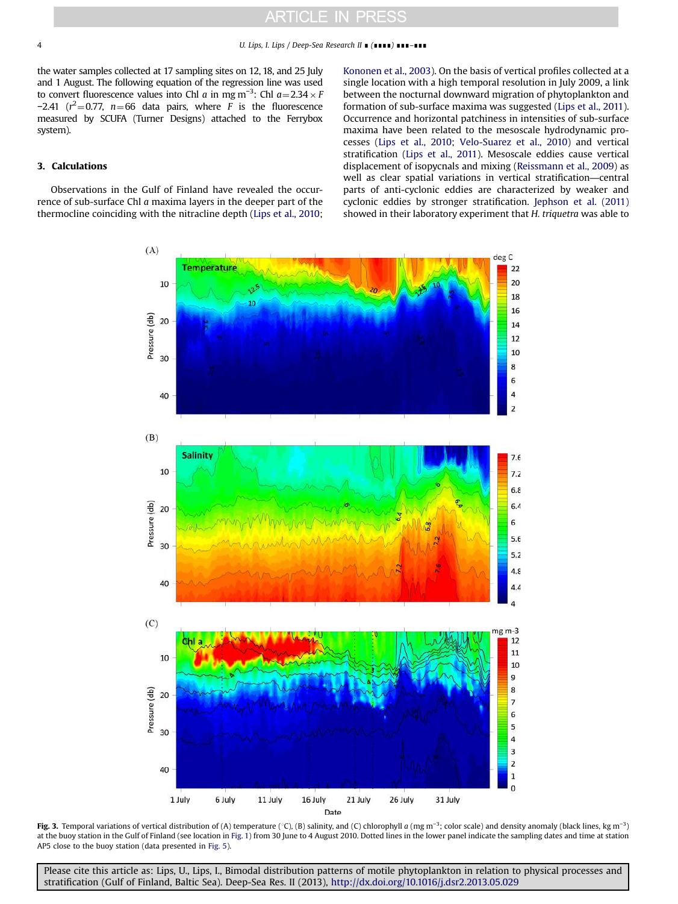<span id="page-3-0"></span>the water samples collected at 17 sampling sites on 12, 18, and 25 July and 1 August. The following equation of the regression line was used to convert fluorescence values into Chl *a* in mg m<sup>-3</sup>: Chl *a*=2.34 × *F*  $-2.41$  ( $r^2 = 0.77$ ,  $n = 66$  data pairs, where F is the fluorescence measured by SCUFA (Turner Designs) attached to the Ferrybox system).

#### 3. Calculations

Observations in the Gulf of Finland have revealed the occurrence of sub-surface Chl a maxima layers in the deeper part of the thermocline coinciding with the nitracline depth ([Lips et al., 2010;](#page-12-0) [Kononen et al., 2003\)](#page-12-0). On the basis of vertical profiles collected at a single location with a high temporal resolution in July 2009, a link between the nocturnal downward migration of phytoplankton and formation of sub-surface maxima was suggested [\(Lips et al., 2011\)](#page-12-0). Occurrence and horizontal patchiness in intensities of sub-surface maxima have been related to the mesoscale hydrodynamic processes ([Lips et al., 2010;](#page-12-0) [Velo-Suarez et al., 2010\)](#page-12-0) and vertical stratification ([Lips et al., 2011](#page-12-0)). Mesoscale eddies cause vertical displacement of isopycnals and mixing [\(Reissmann et al., 2009](#page-12-0)) as well as clear spatial variations in vertical stratification—central parts of anti-cyclonic eddies are characterized by weaker and cyclonic eddies by stronger stratification. [Jephson et al. \(2011\)](#page-12-0) showed in their laboratory experiment that H. triquetra was able to



Fig. 3. Temporal variations of vertical distribution of (A) temperature (°C), (B) salinity, and (C) chlorophyll a (mg m<sup>-3</sup>; color scale) and density anomaly (black lines, kg m<sup>-3</sup>) at the buoy station in the Gulf of Finland (see location in [Fig. 1\)](#page-1-0) from 30 June to 4 August 2010. Dotted lines in the lower panel indicate the sampling dates and time at station AP5 close to the buoy station (data presented in [Fig. 5](#page-5-0)).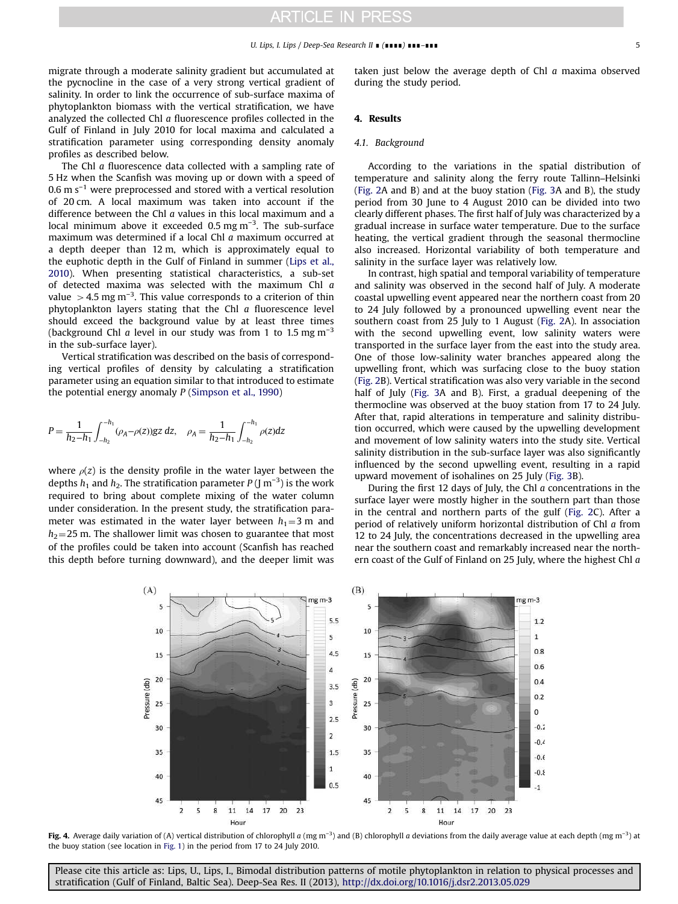<span id="page-4-0"></span>migrate through a moderate salinity gradient but accumulated at the pycnocline in the case of a very strong vertical gradient of salinity. In order to link the occurrence of sub-surface maxima of phytoplankton biomass with the vertical stratification, we have analyzed the collected Chl a fluorescence profiles collected in the Gulf of Finland in July 2010 for local maxima and calculated a stratification parameter using corresponding density anomaly profiles as described below.

The Chl a fluorescence data collected with a sampling rate of 5 Hz when the Scanfish was moving up or down with a speed of  $0.6$  m s<sup>−1</sup> were preprocessed and stored with a vertical resolution of 20 cm. A local maximum was taken into account if the difference between the Chl a values in this local maximum and a local minimum above it exceeded 0.5 mg m<sup>-3</sup>. The sub-surface maximum was determined if a local Chl a maximum occurred at a depth deeper than 12 m, which is approximately equal to the euphotic depth in the Gulf of Finland in summer [\(Lips et al.,](#page-12-0) [2010\)](#page-12-0). When presenting statistical characteristics, a sub-set of detected maxima was selected with the maximum Chl a value > 4.5 mg m<sup>-3</sup>. This value corresponds to a criterion of thin phytoplankton layers stating that the Chl a fluorescence level should exceed the background value by at least three times (background Chl a level in our study was from 1 to 1.5 mg  $m^{-3}$ in the sub-surface layer).

Vertical stratification was described on the basis of corresponding vertical profiles of density by calculating a stratification parameter using an equation similar to that introduced to estimate the potential energy anomaly P [\(Simpson et al., 1990](#page-12-0))

$$
P = \frac{1}{h_2 - h_1} \int_{-h_2}^{-h_1} (\rho_A - \rho(z)) \, dz \, dz, \quad \rho_A = \frac{1}{h_2 - h_1} \int_{-h_2}^{-h_1} \rho(z) \, dz
$$

where  $\rho(z)$  is the density profile in the water layer between the depths  $h_1$  and  $h_2$ . The stratification parameter  $P$  (J  $\text{m}^{-3}$ ) is the work required to bring about complete mixing of the water column under consideration. In the present study, the stratification parameter was estimated in the water layer between  $h_1 = 3$  m and  $h_2$ =25 m. The shallower limit was chosen to guarantee that most of the profiles could be taken into account (Scanfish has reached this depth before turning downward), and the deeper limit was taken just below the average depth of Chl  $a$  maxima observed during the study period.

#### 4. Results

#### 4.1. Background

According to the variations in the spatial distribution of temperature and salinity along the ferry route Tallinn–Helsinki ([Fig. 2](#page-2-0)A and B) and at the buoy station [\(Fig. 3](#page-3-0)A and B), the study period from 30 June to 4 August 2010 can be divided into two clearly different phases. The first half of July was characterized by a gradual increase in surface water temperature. Due to the surface heating, the vertical gradient through the seasonal thermocline also increased. Horizontal variability of both temperature and salinity in the surface layer was relatively low.

In contrast, high spatial and temporal variability of temperature and salinity was observed in the second half of July. A moderate coastal upwelling event appeared near the northern coast from 20 to 24 July followed by a pronounced upwelling event near the southern coast from 25 July to 1 August [\(Fig. 2](#page-2-0)A). In association with the second upwelling event, low salinity waters were transported in the surface layer from the east into the study area. One of those low-salinity water branches appeared along the upwelling front, which was surfacing close to the buoy station ([Fig. 2](#page-2-0)B). Vertical stratification was also very variable in the second half of July [\(Fig. 3](#page-3-0)A and B). First, a gradual deepening of the thermocline was observed at the buoy station from 17 to 24 July. After that, rapid alterations in temperature and salinity distribution occurred, which were caused by the upwelling development and movement of low salinity waters into the study site. Vertical salinity distribution in the sub-surface layer was also significantly influenced by the second upwelling event, resulting in a rapid upward movement of isohalines on 25 July [\(Fig. 3B](#page-3-0)).

During the first 12 days of July, the Chl a concentrations in the surface layer were mostly higher in the southern part than those in the central and northern parts of the gulf [\(Fig. 2](#page-2-0)C). After a period of relatively uniform horizontal distribution of Chl a from 12 to 24 July, the concentrations decreased in the upwelling area near the southern coast and remarkably increased near the northern coast of the Gulf of Finland on 25 July, where the highest Chl a



**Fig. 4.** Average daily variation of (A) vertical distribution of chlorophyll a (mg m<sup>-3</sup>) and (B) chlorophyll a deviations from the daily average value at each depth (mg m<sup>-3</sup>) at the buoy station (see location in [Fig. 1\)](#page-1-0) in the period from 17 to 24 July 2010.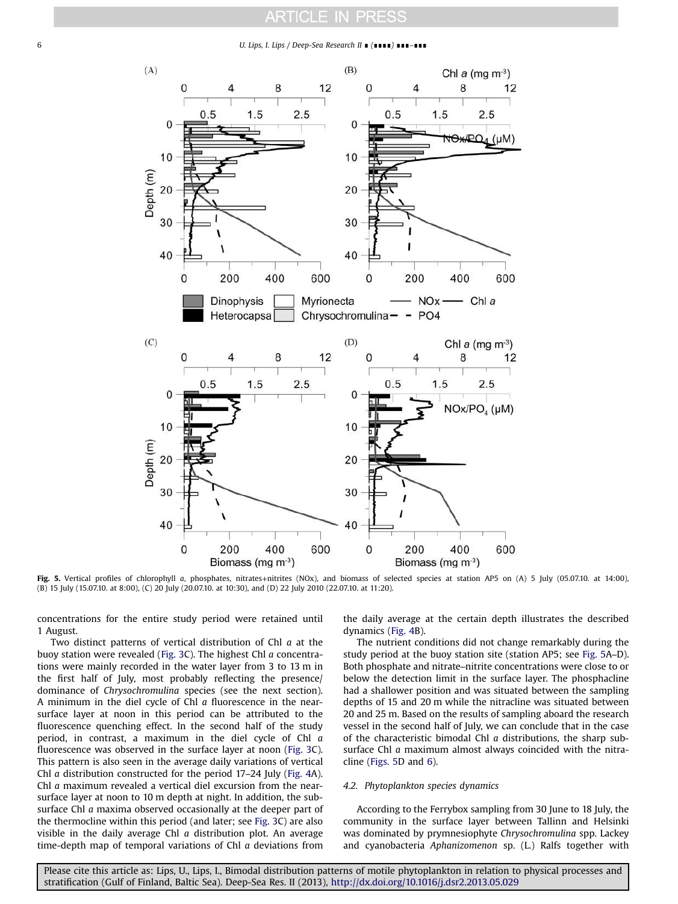#### <span id="page-5-0"></span>6 U. Lips, I. Lips / Deep-Sea Research II ∎ (∎∎∎∎) ∎∎∎–∎∎∎



Fig. 5. Vertical profiles of chlorophyll a, phosphates, nitrates+nitrites (NOx), and biomass of selected species at station AP5 on (A) 5 July (05.07.10. at 14:00), (B) 15 July (15.07.10. at 8:00), (C) 20 July (20.07.10. at 10:30), and (D) 22 July 2010 (22.07.10. at 11:20).

concentrations for the entire study period were retained until 1 August.

Two distinct patterns of vertical distribution of Chl a at the buoy station were revealed ([Fig. 3C](#page-3-0)). The highest Chl a concentrations were mainly recorded in the water layer from 3 to 13 m in the first half of July, most probably reflecting the presence/ dominance of Chrysochromulina species (see the next section). A minimum in the diel cycle of Chl a fluorescence in the nearsurface layer at noon in this period can be attributed to the fluorescence quenching effect. In the second half of the study period, in contrast, a maximum in the diel cycle of Chl a fluorescence was observed in the surface layer at noon ([Fig. 3C](#page-3-0)). This pattern is also seen in the average daily variations of vertical Chl a distribution constructed for the period 17–24 July ([Fig. 4](#page-4-0)A). Chl a maximum revealed a vertical diel excursion from the nearsurface layer at noon to 10 m depth at night. In addition, the subsurface Chl a maxima observed occasionally at the deeper part of the thermocline within this period (and later; see [Fig. 3](#page-3-0)C) are also visible in the daily average Chl  $a$  distribution plot. An average time-depth map of temporal variations of Chl a deviations from the daily average at the certain depth illustrates the described dynamics ([Fig. 4](#page-4-0)B).

The nutrient conditions did not change remarkably during the study period at the buoy station site (station AP5; see Fig. 5A–D). Both phosphate and nitrate–nitrite concentrations were close to or below the detection limit in the surface layer. The phosphacline had a shallower position and was situated between the sampling depths of 15 and 20 m while the nitracline was situated between 20 and 25 m. Based on the results of sampling aboard the research vessel in the second half of July, we can conclude that in the case of the characteristic bimodal Chl a distributions, the sharp subsurface Chl *a* maximum almost always coincided with the nitracline (Figs. 5D and [6](#page-6-0)).

#### 4.2. Phytoplankton species dynamics

According to the Ferrybox sampling from 30 June to 18 July, the community in the surface layer between Tallinn and Helsinki was dominated by prymnesiophyte Chrysochromulina spp. Lackey and cyanobacteria Aphanizomenon sp. (L.) Ralfs together with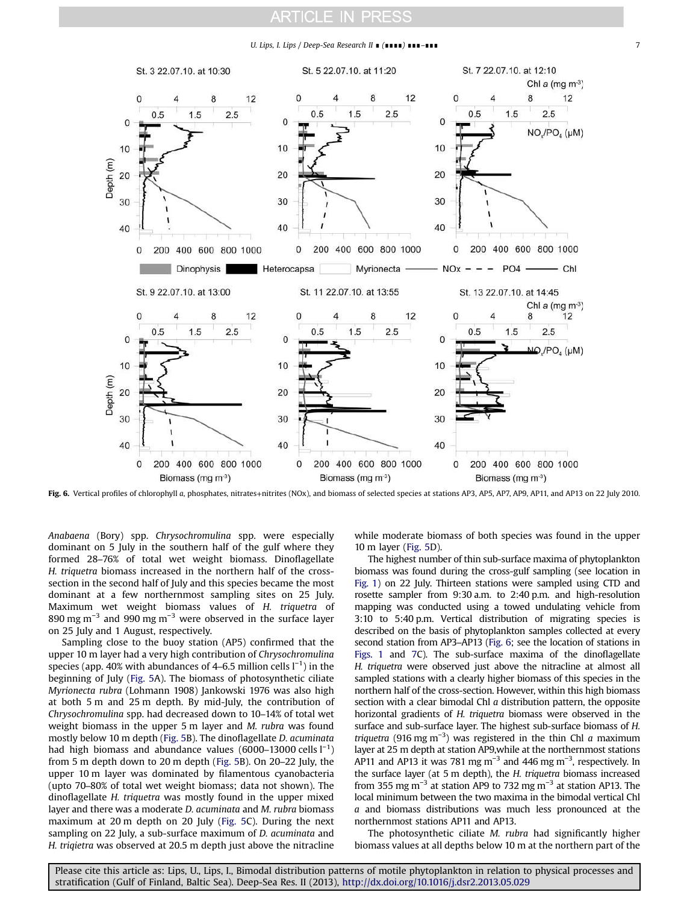#### U. Lips, I. Lips / Deep-Sea Research II ∎ (∎∎∎∎) ∎∎∎–∎∎∎ 7

<span id="page-6-0"></span>

Fig. 6. Vertical profiles of chlorophyll a, phosphates, nitrates+nitrites (NOx), and biomass of selected species at stations AP3, AP5, AP7, AP9, AP1, and AP13 on 22 July 2010.

Anabaena (Bory) spp. Chrysochromulina spp. were especially dominant on 5 July in the southern half of the gulf where they formed 28–76% of total wet weight biomass. Dinoflagellate H. triquetra biomass increased in the northern half of the crosssection in the second half of July and this species became the most dominant at a few northernmost sampling sites on 25 July. Maximum wet weight biomass values of H. triquetra of 890 mg m−<sup>3</sup> and 990 mg m−<sup>3</sup> were observed in the surface layer on 25 July and 1 August, respectively.

Sampling close to the buoy station (AP5) confirmed that the upper 10 m layer had a very high contribution of Chrysochromulina species (app. 40% with abundances of 4–6.5 million cells  $l^{-1}$ ) in the beginning of July ([Fig. 5](#page-5-0)A). The biomass of photosynthetic ciliate Myrionecta rubra (Lohmann 1908) Jankowski 1976 was also high at both 5 m and 25 m depth. By mid-July, the contribution of Chrysochromulina spp. had decreased down to 10–14% of total wet weight biomass in the upper 5 m layer and M. rubra was found mostly below 10 m depth ([Fig. 5B](#page-5-0)). The dinoflagellate D. acuminata had high biomass and abundance values (6000–13000 cells  $l^{-1}$ ) from 5 m depth down to 20 m depth [\(Fig. 5B](#page-5-0)). On 20–22 July, the upper 10 m layer was dominated by filamentous cyanobacteria (upto 70–80% of total wet weight biomass; data not shown). The dinoflagellate H. triquetra was mostly found in the upper mixed layer and there was a moderate D. acuminata and M. rubra biomass maximum at 20 m depth on 20 July ([Fig. 5](#page-5-0)C). During the next sampling on 22 July, a sub-surface maximum of *D. acuminata* and H. triqietra was observed at 20.5 m depth just above the nitracline

while moderate biomass of both species was found in the upper 10 m layer [\(Fig. 5D](#page-5-0)).

The highest number of thin sub-surface maxima of phytoplankton biomass was found during the cross-gulf sampling (see location in [Fig. 1\)](#page-1-0) on 22 July. Thirteen stations were sampled using CTD and rosette sampler from 9:30 a.m. to 2:40 p.m. and high-resolution mapping was conducted using a towed undulating vehicle from 3:10 to 5:40 p.m. Vertical distribution of migrating species is described on the basis of phytoplankton samples collected at every second station from AP3–AP13 (Fig. 6; see the location of stations in [Figs. 1](#page-1-0) and [7](#page-7-0)C). The sub-surface maxima of the dinoflagellate H. triquetra were observed just above the nitracline at almost all sampled stations with a clearly higher biomass of this species in the northern half of the cross-section. However, within this high biomass section with a clear bimodal Chl  $a$  distribution pattern, the opposite horizontal gradients of H. triquetra biomass were observed in the surface and sub-surface layer. The highest sub-surface biomass of H. triquetra (916 mg m<sup>-3</sup>) was registered in the thin Chl a maximum layer at 25 m depth at station AP9,while at the northernmost stations AP11 and AP13 it was 781 mg m<sup>-3</sup> and 446 mg m<sup>-3</sup>, respectively. In the surface layer (at 5 m depth), the H. triquetra biomass increased from 355 mg m<sup>-3</sup> at station AP9 to 732 mg m<sup>-3</sup> at station AP13. The local minimum between the two maxima in the bimodal vertical Chl a and biomass distributions was much less pronounced at the northernmost stations AP11 and AP13.

The photosynthetic ciliate M. rubra had significantly higher biomass values at all depths below 10 m at the northern part of the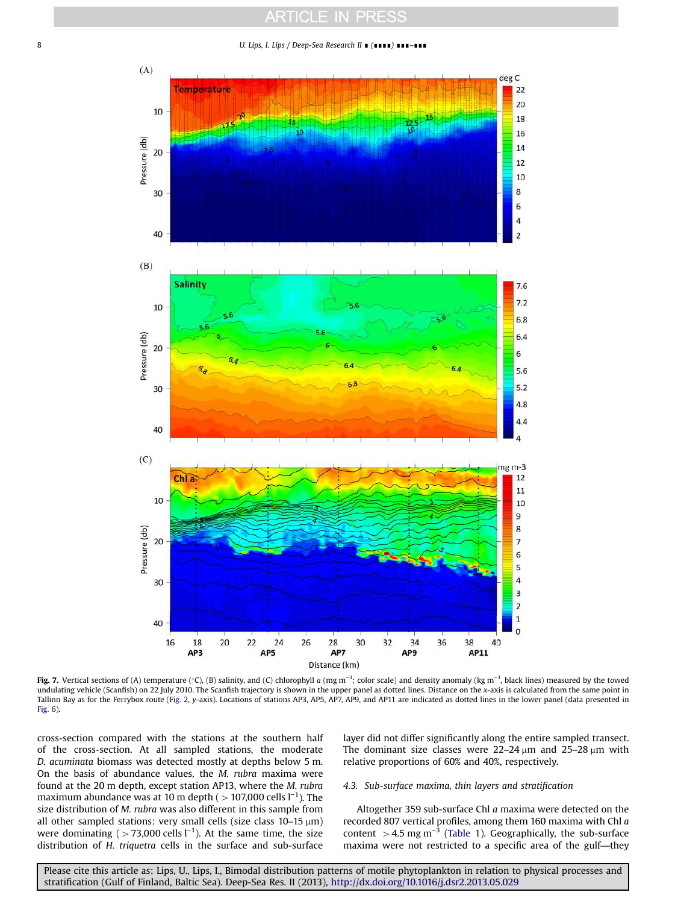<span id="page-7-0"></span>8 U. Lips, I. Lips / Deep-Sea Research II ∎ (∎∎∎∎) ∎∎∎–∎∎∎



**Fig. 7.** Vertical sections of (A) temperature (°C), (B) salinity, and (C) chlorophyll a (mg m<sup>-3</sup>; color scale) and density anomaly (kg m<sup>-3</sup>, black lines) measured by the towed undulating vehicle (Scanfish) on 22 July 2010. The Scanfish trajectory is shown in the upper panel as dotted lines. Distance on the x-axis is calculated from the same point in Tallinn Bay as for the Ferrybox route ([Fig. 2](#page-2-0), y-axis). Locations of stations AP3, AP5, AP7, AP9, and AP11 are indicated as dotted lines in the lower panel (data presented in [Fig. 6](#page-6-0)).

cross-section compared with the stations at the southern half of the cross-section. At all sampled stations, the moderate D. acuminata biomass was detected mostly at depths below 5 m. On the basis of abundance values, the M. rubra maxima were found at the 20 m depth, except station AP13, where the M. rubra maximum abundance was at 10 m depth ( $>$  107,000 cells l<sup>−1</sup>). The size distribution of M. rubra was also different in this sample from all other sampled stations: very small cells (size class  $10-15 \mu m$ ) were dominating ( $>73,000$  cells l<sup>-1</sup>). At the same time, the size distribution of H. triquetra cells in the surface and sub-surface

layer did not differ significantly along the entire sampled transect. The dominant size classes were  $22-24 \mu m$  and  $25-28 \mu m$  with relative proportions of 60% and 40%, respectively.

#### 4.3. Sub-surface maxima, thin layers and stratification

Altogether 359 sub-surface Chl a maxima were detected on the recorded 807 vertical profiles, among them 160 maxima with Chl a content > 4.5 mg m<sup>-3</sup> ([Table 1](#page-8-0)). Geographically, the sub-surface maxima were not restricted to a specific area of the gulf—they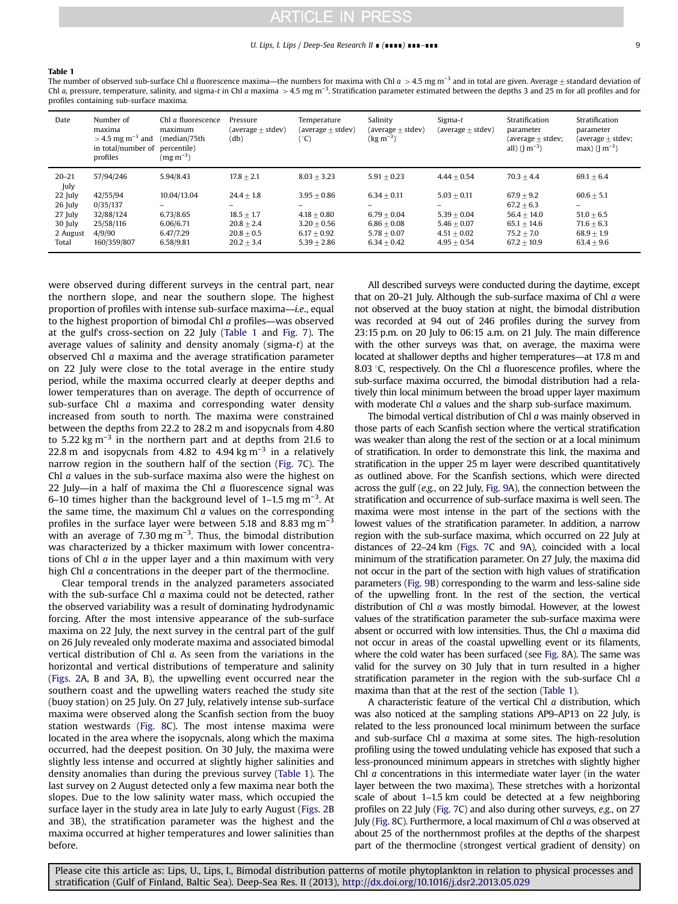#### U. Lips, I. Lips / Deep-Sea Research II ∎ (∎∎∎∎) ∎∎∎–∎∎∎ 9

#### <span id="page-8-0"></span>Table 1

The number of observed sub-surface Chl a fluorescence maxima—the numbers for maxima with Chl a > 4.5 mg m<sup>-3</sup> and in total are given. Average  $\pm$  standard deviation of Chl a, pressure, temperature, salinity, and sigma-t in Chl a maxima > 4.5 mg m<sup>−3</sup>. Stratification parameter estimated between the depths 3 and 25 m for all profiles and for profiles containing sub-surface maxima.

| Date              | Number of<br>maxima<br>$>$ 4.5 mg m <sup>-3</sup> and<br>in total/number of percentile)<br>profiles | Chl a fluorescence<br>maximum<br>(median/75th<br>$(mg\ m^{-3})$ | Pressure<br>(average $\pm$ stdev)<br>(db) | Temperature<br>(average $\pm$ stdev)<br>$^{\circ}$ C) | Salinity<br>(average + stdev)<br>(kg m <sup>-3</sup> ) | Sigma-t<br>(average $\pm$ stdev) | Stratification<br>parameter<br>(average + stdev;<br>all) $(\mathrm{Im}^{-3})$ | Stratification<br>parameter<br>(average + stdev;<br>max) $(\mathrm{Im}^{-3})$ |
|-------------------|-----------------------------------------------------------------------------------------------------|-----------------------------------------------------------------|-------------------------------------------|-------------------------------------------------------|--------------------------------------------------------|----------------------------------|-------------------------------------------------------------------------------|-------------------------------------------------------------------------------|
| $20 - 21$<br>July | 57/94/246                                                                                           | 5.94/8.43                                                       | $17.8 + 2.1$                              | $8.03 + 3.23$                                         | $5.91 + 0.23$                                          | $4.44 + 0.54$                    | $70.3 + 4.4$                                                                  | $69.1 + 6.4$                                                                  |
| 22 July           | 42/55/94                                                                                            | 10.04/13.04                                                     | $24.4 + 1.8$                              | $3.95 + 0.86$                                         | $6.34 + 0.11$                                          | $5.03 + 0.11$                    | $67.9 + 9.2$                                                                  | $60.6 + 5.1$                                                                  |
| 26 July           | 0/35/137                                                                                            | -                                                               | -                                         | -                                                     | $\overline{\phantom{0}}$                               |                                  | $67.2 \pm 6.3$                                                                | $\overline{\phantom{0}}$                                                      |
| 27 July           | 32/88/124                                                                                           | 6.73/8.65                                                       | $18.5 + 1.7$                              | $4.18 + 0.80$                                         | $6.79 + 0.04$                                          | $5.39 + 0.04$                    | $56.4 + 14.0$                                                                 | $51.0 + 6.5$                                                                  |
| 30 July           | 25/58/116                                                                                           | 6.06/6.71                                                       | $20.8 + 2.4$                              | $3.20 + 0.56$                                         | $6.86 + 0.08$                                          | $5.46 + 0.07$                    | $65.1 + 14.6$                                                                 | $71.6 + 6.3$                                                                  |
| 2 August          | 4/9/90                                                                                              | 6.47/7.29                                                       | $20.8 + 0.5$                              | $6.17 + 0.92$                                         | $5.78 + 0.07$                                          | $4.51 + 0.02$                    | $75.2 + 7.0$                                                                  | $68.9 + 1.9$                                                                  |
| Total             | 160/359/807                                                                                         | 6.58/9.81                                                       | $20.2 + 3.4$                              | $5.39 + 2.86$                                         | $6.34 + 0.42$                                          | $4.95 + 0.54$                    | $67.2 + 10.9$                                                                 | $63.4 + 9.6$                                                                  |

were observed during different surveys in the central part, near the northern slope, and near the southern slope. The highest proportion of profiles with intense sub-surface maxima—i.e., equal to the highest proportion of bimodal Chl a profiles—was observed at the gulf's cross-section on 22 July (Table 1 and [Fig. 7\)](#page-7-0). The average values of salinity and density anomaly (sigma-t) at the observed Chl a maxima and the average stratification parameter on 22 July were close to the total average in the entire study period, while the maxima occurred clearly at deeper depths and lower temperatures than on average. The depth of occurrence of sub-surface Chl a maxima and corresponding water density increased from south to north. The maxima were constrained between the depths from 22.2 to 28.2 m and isopycnals from 4.80 to 5.22 kg m<sup>-3</sup> in the northern part and at depths from 21.6 to 22.8 m and isopycnals from 4.82 to 4.94 kg m<sup>-3</sup> in a relatively narrow region in the southern half of the section ([Fig. 7](#page-7-0)C). The Chl a values in the sub-surface maxima also were the highest on 22 July—in a half of maxima the Chl  $a$  fluorescence signal was 6–10 times higher than the background level of 1–1.5 mg m<sup>-3</sup>. At the same time, the maximum Chl  $a$  values on the corresponding profiles in the surface layer were between 5.18 and 8.83 mg  $m<sup>-3</sup>$ with an average of 7.30 mg  $m^{-3}$ . Thus, the bimodal distribution was characterized by a thicker maximum with lower concentrations of Chl a in the upper layer and a thin maximum with very high Chl *a* concentrations in the deeper part of the thermocline.

Clear temporal trends in the analyzed parameters associated with the sub-surface Chl a maxima could not be detected, rather the observed variability was a result of dominating hydrodynamic forcing. After the most intensive appearance of the sub-surface maxima on 22 July, the next survey in the central part of the gulf on 26 July revealed only moderate maxima and associated bimodal vertical distribution of Chl a. As seen from the variations in the horizontal and vertical distributions of temperature and salinity ([Figs. 2A](#page-2-0), B and [3](#page-3-0)A, B), the upwelling event occurred near the southern coast and the upwelling waters reached the study site (buoy station) on 25 July. On 27 July, relatively intense sub-surface maxima were observed along the Scanfish section from the buoy station westwards [\(Fig. 8](#page-9-0)C). The most intense maxima were located in the area where the isopycnals, along which the maxima occurred, had the deepest position. On 30 July, the maxima were slightly less intense and occurred at slightly higher salinities and density anomalies than during the previous survey (Table 1). The last survey on 2 August detected only a few maxima near both the slopes. Due to the low salinity water mass, which occupied the surface layer in the study area in late July to early August ([Figs. 2B](#page-2-0) and [3](#page-3-0)B), the stratification parameter was the highest and the maxima occurred at higher temperatures and lower salinities than before.

All described surveys were conducted during the daytime, except that on 20–21 July. Although the sub-surface maxima of Chl a were not observed at the buoy station at night, the bimodal distribution was recorded at 94 out of 246 profiles during the survey from 23:15 p.m. on 20 July to 06:15 a.m. on 21 July. The main difference with the other surveys was that, on average, the maxima were located at shallower depths and higher temperatures—at 17.8 m and 8.03 °C, respectively. On the Chl  $a$  fluorescence profiles, where the sub-surface maxima occurred, the bimodal distribution had a relatively thin local minimum between the broad upper layer maximum with moderate Chl *a* values and the sharp sub-surface maximum.

The bimodal vertical distribution of Chl a was mainly observed in those parts of each Scanfish section where the vertical stratification was weaker than along the rest of the section or at a local minimum of stratification. In order to demonstrate this link, the maxima and stratification in the upper 25 m layer were described quantitatively as outlined above. For the Scanfish sections, which were directed across the gulf (e.g., on 22 July, [Fig. 9A](#page-10-0)), the connection between the stratification and occurrence of sub-surface maxima is well seen. The maxima were most intense in the part of the sections with the lowest values of the stratification parameter. In addition, a narrow region with the sub-surface maxima, which occurred on 22 July at distances of 22–24 km ([Figs. 7C](#page-7-0) and [9A](#page-10-0)), coincided with a local minimum of the stratification parameter. On 27 July, the maxima did not occur in the part of the section with high values of stratification parameters [\(Fig. 9B](#page-10-0)) corresponding to the warm and less-saline side of the upwelling front. In the rest of the section, the vertical distribution of Chl a was mostly bimodal. However, at the lowest values of the stratification parameter the sub-surface maxima were absent or occurred with low intensities. Thus, the Chl a maxima did not occur in areas of the coastal upwelling event or its filaments, where the cold water has been surfaced (see [Fig. 8](#page-9-0)A). The same was valid for the survey on 30 July that in turn resulted in a higher stratification parameter in the region with the sub-surface Chl a maxima than that at the rest of the section (Table 1).

A characteristic feature of the vertical Chl a distribution, which was also noticed at the sampling stations AP9–AP13 on 22 July, is related to the less pronounced local minimum between the surface and sub-surface Chl a maxima at some sites. The high-resolution profiling using the towed undulating vehicle has exposed that such a less-pronounced minimum appears in stretches with slightly higher Chl  $a$  concentrations in this intermediate water layer (in the water layer between the two maxima). These stretches with a horizontal scale of about 1–1.5 km could be detected at a few neighboring profiles on 22 July ([Fig. 7C](#page-7-0)) and also during other surveys, e.g., on 27 July [\(Fig. 8C](#page-9-0)). Furthermore, a local maximum of Chl a was observed at about 25 of the northernmost profiles at the depths of the sharpest part of the thermocline (strongest vertical gradient of density) on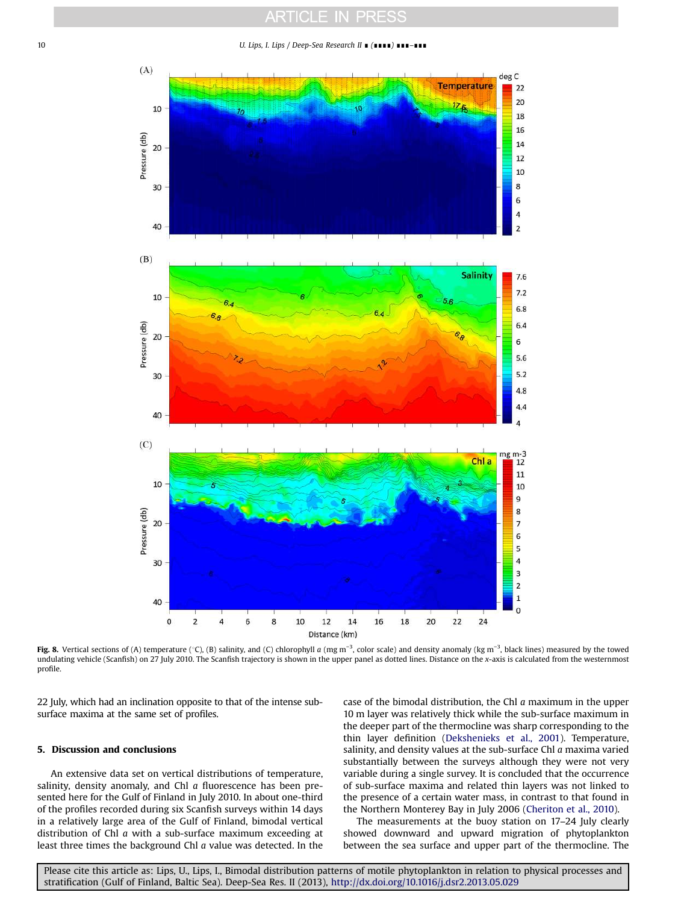<span id="page-9-0"></span>10 U. Lips, I. Lips / Deep-Sea Research II ∎ (∎∎∎∎) ∎∎∎–∎∎∎



**Fig. 8.** Vertical sections of (A) temperature (°C), (B) salinity, and (C) chlorophyll a (mg m<sup>−3</sup>, color scale) and density anomaly (kg m<sup>−3</sup>, black lines) measured by the towed undulating vehicle (Scanfish) on 27 July 2010. The Scanfish trajectory is shown in the upper panel as dotted lines. Distance on the x-axis is calculated from the westernmost profile.

22 July, which had an inclination opposite to that of the intense subsurface maxima at the same set of profiles.

#### 5. Discussion and conclusions

An extensive data set on vertical distributions of temperature, salinity, density anomaly, and Chl a fluorescence has been presented here for the Gulf of Finland in July 2010. In about one-third of the profiles recorded during six Scanfish surveys within 14 days in a relatively large area of the Gulf of Finland, bimodal vertical distribution of Chl a with a sub-surface maximum exceeding at least three times the background Chl a value was detected. In the

case of the bimodal distribution, the Chl  $a$  maximum in the upper 10 m layer was relatively thick while the sub-surface maximum in the deeper part of the thermocline was sharp corresponding to the thin layer definition ([Dekshenieks et al., 2001](#page-12-0)). Temperature, salinity, and density values at the sub-surface Chl a maxima varied substantially between the surveys although they were not very variable during a single survey. It is concluded that the occurrence of sub-surface maxima and related thin layers was not linked to the presence of a certain water mass, in contrast to that found in the Northern Monterey Bay in July 2006 ([Cheriton et al., 2010](#page-12-0)).

The measurements at the buoy station on 17–24 July clearly showed downward and upward migration of phytoplankton between the sea surface and upper part of the thermocline. The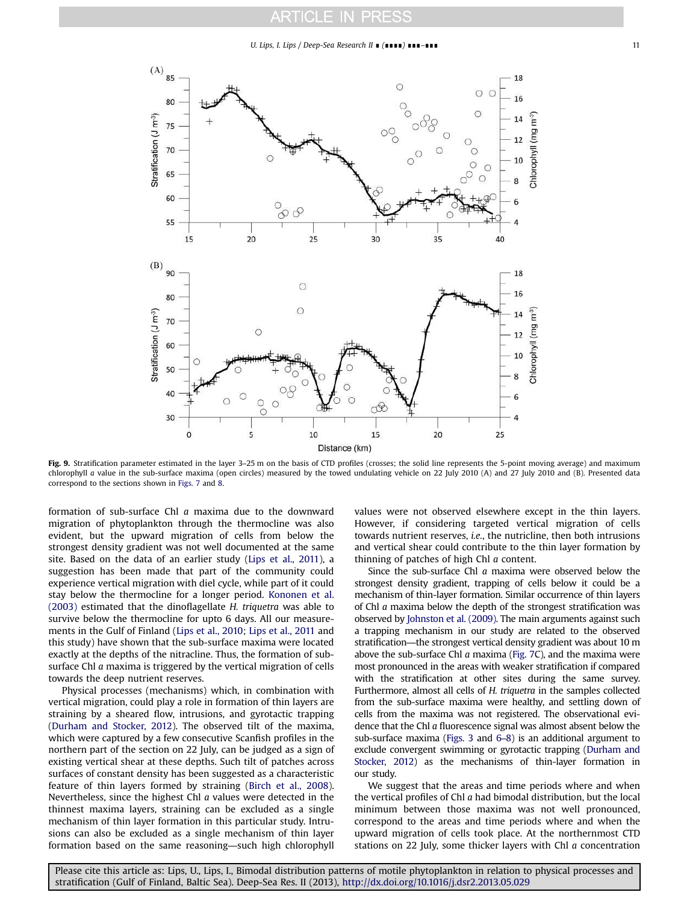<span id="page-10-0"></span>

Fig. 9. Stratification parameter estimated in the layer 3-25 m on the basis of CTD profiles (crosses; the solid line represents the 5-point moving average) and maximum chlorophyll a value in the sub-surface maxima (open circles) measured by the towed undulating vehicle on 22 July 2010 (A) and 27 July 2010 and (B). Presented data correspond to the sections shown in [Figs. 7](#page-7-0) and [8](#page-9-0).

formation of sub-surface Chl a maxima due to the downward migration of phytoplankton through the thermocline was also evident, but the upward migration of cells from below the strongest density gradient was not well documented at the same site. Based on the data of an earlier study [\(Lips et al., 2011\)](#page-12-0), a suggestion has been made that part of the community could experience vertical migration with diel cycle, while part of it could stay below the thermocline for a longer period. [Kononen et al.](#page-12-0) [\(2003\)](#page-12-0) estimated that the dinoflagellate H. triquetra was able to survive below the thermocline for upto 6 days. All our measurements in the Gulf of Finland [\(Lips et al., 2010;](#page-12-0) [Lips et al., 2011](#page-12-0) and this study) have shown that the sub-surface maxima were located exactly at the depths of the nitracline. Thus, the formation of subsurface Chl *a* maxima is triggered by the vertical migration of cells towards the deep nutrient reserves.

Physical processes (mechanisms) which, in combination with vertical migration, could play a role in formation of thin layers are straining by a sheared flow, intrusions, and gyrotactic trapping ([Durham and Stocker, 2012](#page-12-0)). The observed tilt of the maxima, which were captured by a few consecutive Scanfish profiles in the northern part of the section on 22 July, can be judged as a sign of existing vertical shear at these depths. Such tilt of patches across surfaces of constant density has been suggested as a characteristic feature of thin layers formed by straining ([Birch et al., 2008\)](#page-12-0). Nevertheless, since the highest Chl a values were detected in the thinnest maxima layers, straining can be excluded as a single mechanism of thin layer formation in this particular study. Intrusions can also be excluded as a single mechanism of thin layer formation based on the same reasoning—such high chlorophyll values were not observed elsewhere except in the thin layers. However, if considering targeted vertical migration of cells towards nutrient reserves, i.e., the nutricline, then both intrusions and vertical shear could contribute to the thin layer formation by thinning of patches of high Chl a content.

Since the sub-surface Chl  $a$  maxima were observed below the strongest density gradient, trapping of cells below it could be a mechanism of thin-layer formation. Similar occurrence of thin layers of Chl a maxima below the depth of the strongest stratification was observed by [Johnston et al. \(2009\).](#page-12-0) The main arguments against such a trapping mechanism in our study are related to the observed stratification—the strongest vertical density gradient was about 10 m above the sub-surface Chl  $a$  maxima [\(Fig. 7C](#page-7-0)), and the maxima were most pronounced in the areas with weaker stratification if compared with the stratification at other sites during the same survey. Furthermore, almost all cells of H. triquetra in the samples collected from the sub-surface maxima were healthy, and settling down of cells from the maxima was not registered. The observational evidence that the Chl a fluorescence signal was almost absent below the sub-surface maxima [\(Figs. 3](#page-3-0) and [6](#page-6-0)–[8](#page-9-0)) is an additional argument to exclude convergent swimming or gyrotactic trapping ([Durham and](#page-12-0) [Stocker, 2012\)](#page-12-0) as the mechanisms of thin-layer formation in our study.

We suggest that the areas and time periods where and when the vertical profiles of Chl a had bimodal distribution, but the local minimum between those maxima was not well pronounced, correspond to the areas and time periods where and when the upward migration of cells took place. At the northernmost CTD stations on 22 July, some thicker layers with Chl a concentration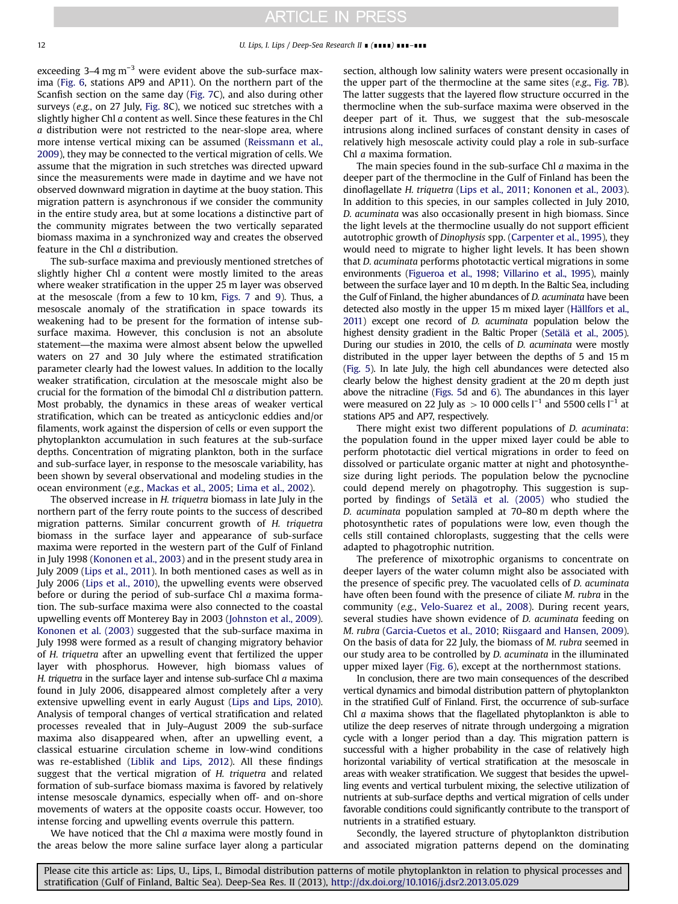exceeding  $3-4$  mg m<sup>-3</sup> were evident above the sub-surface maxima [\(Fig. 6](#page-6-0), stations AP9 and AP11). On the northern part of the Scanfish section on the same day ([Fig. 7C](#page-7-0)), and also during other surveys (e.g., on 27 July, [Fig. 8](#page-9-0)C), we noticed suc stretches with a slightly higher Chl a content as well. Since these features in the Chl a distribution were not restricted to the near-slope area, where more intense vertical mixing can be assumed [\(Reissmann et al.,](#page-12-0) [2009\)](#page-12-0), they may be connected to the vertical migration of cells. We assume that the migration in such stretches was directed upward since the measurements were made in daytime and we have not observed downward migration in daytime at the buoy station. This migration pattern is asynchronous if we consider the community in the entire study area, but at some locations a distinctive part of the community migrates between the two vertically separated biomass maxima in a synchronized way and creates the observed feature in the Chl a distribution.

The sub-surface maxima and previously mentioned stretches of slightly higher Chl  $a$  content were mostly limited to the areas where weaker stratification in the upper 25 m layer was observed at the mesoscale (from a few to 10 km, [Figs. 7](#page-7-0) and [9\)](#page-10-0). Thus, a mesoscale anomaly of the stratification in space towards its weakening had to be present for the formation of intense subsurface maxima. However, this conclusion is not an absolute statement—the maxima were almost absent below the upwelled waters on 27 and 30 July where the estimated stratification parameter clearly had the lowest values. In addition to the locally weaker stratification, circulation at the mesoscale might also be crucial for the formation of the bimodal Chl a distribution pattern. Most probably, the dynamics in these areas of weaker vertical stratification, which can be treated as anticyclonic eddies and/or filaments, work against the dispersion of cells or even support the phytoplankton accumulation in such features at the sub-surface depths. Concentration of migrating plankton, both in the surface and sub-surface layer, in response to the mesoscale variability, has been shown by several observational and modeling studies in the ocean environment (e.g., [Mackas et al., 2005;](#page-12-0) [Lima et al., 2002\)](#page-12-0).

The observed increase in H. triquetra biomass in late July in the northern part of the ferry route points to the success of described migration patterns. Similar concurrent growth of H. triquetra biomass in the surface layer and appearance of sub-surface maxima were reported in the western part of the Gulf of Finland in July 1998 [\(Kononen et al., 2003](#page-12-0)) and in the present study area in July 2009 [\(Lips et al., 2011\)](#page-12-0). In both mentioned cases as well as in July 2006 [\(Lips et al., 2010\)](#page-12-0), the upwelling events were observed before or during the period of sub-surface Chl a maxima formation. The sub-surface maxima were also connected to the coastal upwelling events off Monterey Bay in 2003 [\(Johnston et al., 2009\)](#page-12-0). [Kononen et al. \(2003\)](#page-12-0) suggested that the sub-surface maxima in July 1998 were formed as a result of changing migratory behavior of H. triquetra after an upwelling event that fertilized the upper layer with phosphorus. However, high biomass values of H. triquetra in the surface layer and intense sub-surface Chl  $a$  maxima found in July 2006, disappeared almost completely after a very extensive upwelling event in early August ([Lips and Lips, 2010\)](#page-12-0). Analysis of temporal changes of vertical stratification and related processes revealed that in July–August 2009 the sub-surface maxima also disappeared when, after an upwelling event, a classical estuarine circulation scheme in low-wind conditions was re-established ([Liblik and Lips, 2012](#page-12-0)). All these findings suggest that the vertical migration of H. triquetra and related formation of sub-surface biomass maxima is favored by relatively intense mesoscale dynamics, especially when off- and on-shore movements of waters at the opposite coasts occur. However, too intense forcing and upwelling events overrule this pattern.

We have noticed that the Chl  $a$  maxima were mostly found in the areas below the more saline surface layer along a particular

section, although low salinity waters were present occasionally in the upper part of the thermocline at the same sites (e.g., [Fig. 7B](#page-7-0)). The latter suggests that the layered flow structure occurred in the thermocline when the sub-surface maxima were observed in the deeper part of it. Thus, we suggest that the sub-mesoscale intrusions along inclined surfaces of constant density in cases of relatively high mesoscale activity could play a role in sub-surface Chl a maxima formation.

The main species found in the sub-surface Chl  $a$  maxima in the deeper part of the thermocline in the Gulf of Finland has been the dinoflagellate H. triquetra [\(Lips et al., 2011](#page-12-0); [Kononen et al., 2003\)](#page-12-0). In addition to this species, in our samples collected in July 2010, D. acuminata was also occasionally present in high biomass. Since the light levels at the thermocline usually do not support efficient autotrophic growth of Dinophysis spp. [\(Carpenter et al., 1995\)](#page-12-0), they would need to migrate to higher light levels. It has been shown that D. acuminata performs phototactic vertical migrations in some environments [\(Figueroa et al., 1998;](#page-12-0) [Villarino et al., 1995](#page-12-0)), mainly between the surface layer and 10 m depth. In the Baltic Sea, including the Gulf of Finland, the higher abundances of D. acuminata have been detected also mostly in the upper 15 m mixed layer [\(Hällfors et al.,](#page-12-0) [2011\)](#page-12-0) except one record of D. acuminata population below the highest density gradient in the Baltic Proper [\(Setälä et al., 2005\)](#page-12-0). During our studies in 2010, the cells of D. acuminata were mostly distributed in the upper layer between the depths of 5 and 15 m ([Fig. 5](#page-5-0)). In late July, the high cell abundances were detected also clearly below the highest density gradient at the 20 m depth just above the nitracline [\(Figs. 5](#page-5-0)d and [6](#page-6-0)). The abundances in this layer were measured on 22 July as  $>10$  000 cells l<sup>-1</sup> and 5500 cells l<sup>-1</sup> at stations AP5 and AP7, respectively.

There might exist two different populations of D. acuminata: the population found in the upper mixed layer could be able to perform phototactic diel vertical migrations in order to feed on dissolved or particulate organic matter at night and photosynthesize during light periods. The population below the pycnocline could depend merely on phagotrophy. This suggestion is supported by findings of [Setälä et al. \(2005\)](#page-12-0) who studied the D. acuminata population sampled at 70–80 m depth where the photosynthetic rates of populations were low, even though the cells still contained chloroplasts, suggesting that the cells were adapted to phagotrophic nutrition.

The preference of mixotrophic organisms to concentrate on deeper layers of the water column might also be associated with the presence of specific prey. The vacuolated cells of D. acuminata have often been found with the presence of ciliate M. rubra in the community (e.g., [Velo-Suarez et al., 2008](#page-12-0)). During recent years, several studies have shown evidence of D. acuminata feeding on M. rubra [\(Garcia-Cuetos et al., 2010;](#page-12-0) [Riisgaard and Hansen, 2009\)](#page-12-0). On the basis of data for 22 July, the biomass of M. rubra seemed in our study area to be controlled by D. acuminata in the illuminated upper mixed layer ([Fig. 6](#page-6-0)), except at the northernmost stations.

In conclusion, there are two main consequences of the described vertical dynamics and bimodal distribution pattern of phytoplankton in the stratified Gulf of Finland. First, the occurrence of sub-surface Chl  $a$  maxima shows that the flagellated phytoplankton is able to utilize the deep reserves of nitrate through undergoing a migration cycle with a longer period than a day. This migration pattern is successful with a higher probability in the case of relatively high horizontal variability of vertical stratification at the mesoscale in areas with weaker stratification. We suggest that besides the upwelling events and vertical turbulent mixing, the selective utilization of nutrients at sub-surface depths and vertical migration of cells under favorable conditions could significantly contribute to the transport of nutrients in a stratified estuary.

Secondly, the layered structure of phytoplankton distribution and associated migration patterns depend on the dominating